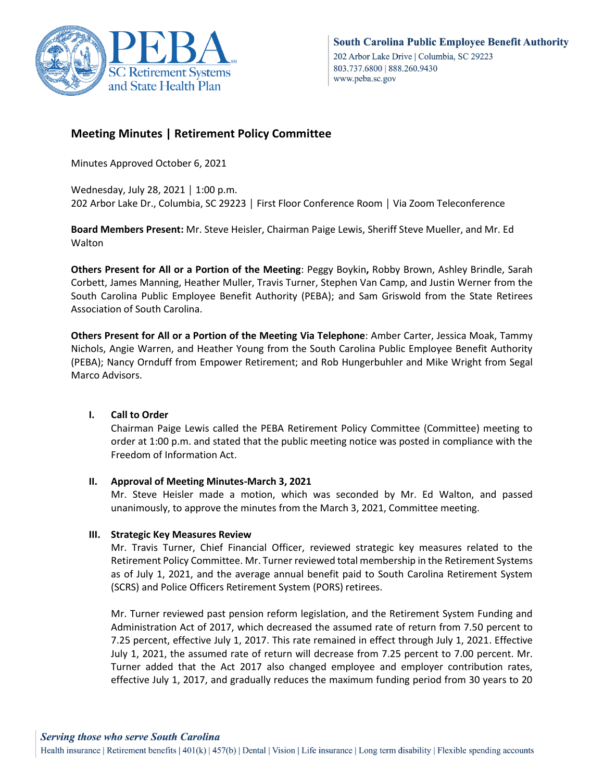

# **Meeting Minutes | Retirement Policy Committee**

Minutes Approved October 6, 2021

Wednesday, July 28, 2021 │ 1:00 p.m. 202 Arbor Lake Dr., Columbia, SC 29223 │ First Floor Conference Room │ Via Zoom Teleconference

**Board Members Present:** Mr. Steve Heisler, Chairman Paige Lewis, Sheriff Steve Mueller, and Mr. Ed Walton

**Others Present for All or a Portion of the Meeting**: Peggy Boykin**,** Robby Brown, Ashley Brindle, Sarah Corbett, James Manning, Heather Muller, Travis Turner, Stephen Van Camp, and Justin Werner from the South Carolina Public Employee Benefit Authority (PEBA); and Sam Griswold from the State Retirees Association of South Carolina.

**Others Present for All or a Portion of the Meeting Via Telephone**: Amber Carter, Jessica Moak, Tammy Nichols, Angie Warren, and Heather Young from the South Carolina Public Employee Benefit Authority (PEBA); Nancy Ornduff from Empower Retirement; and Rob Hungerbuhler and Mike Wright from Segal Marco Advisors.

## **I. Call to Order**

Chairman Paige Lewis called the PEBA Retirement Policy Committee (Committee) meeting to order at 1:00 p.m. and stated that the public meeting notice was posted in compliance with the Freedom of Information Act.

#### **II. Approval of Meeting Minutes-March 3, 2021**

Mr. Steve Heisler made a motion, which was seconded by Mr. Ed Walton, and passed unanimously, to approve the minutes from the March 3, 2021, Committee meeting.

## **III. Strategic Key Measures Review**

Mr. Travis Turner, Chief Financial Officer, reviewed strategic key measures related to the Retirement Policy Committee. Mr. Turner reviewed total membership in the Retirement Systems as of July 1, 2021, and the average annual benefit paid to South Carolina Retirement System (SCRS) and Police Officers Retirement System (PORS) retirees.

Mr. Turner reviewed past pension reform legislation, and the Retirement System Funding and Administration Act of 2017, which decreased the assumed rate of return from 7.50 percent to 7.25 percent, effective July 1, 2017. This rate remained in effect through July 1, 2021. Effective July 1, 2021, the assumed rate of return will decrease from 7.25 percent to 7.00 percent. Mr. Turner added that the Act 2017 also changed employee and employer contribution rates, effective July 1, 2017, and gradually reduces the maximum funding period from 30 years to 20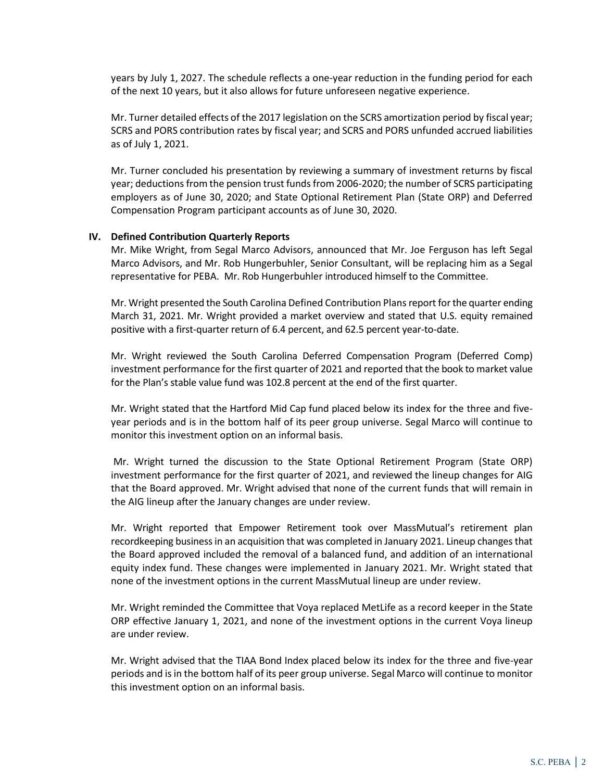years by July 1, 2027. The schedule reflects a one-year reduction in the funding period for each of the next 10 years, but it also allows for future unforeseen negative experience.

Mr. Turner detailed effects of the 2017 legislation on the SCRS amortization period by fiscal year; SCRS and PORS contribution rates by fiscal year; and SCRS and PORS unfunded accrued liabilities as of July 1, 2021.

Mr. Turner concluded his presentation by reviewing a summary of investment returns by fiscal year; deductions from the pension trust funds from 2006-2020; the number of SCRS participating employers as of June 30, 2020; and State Optional Retirement Plan (State ORP) and Deferred Compensation Program participant accounts as of June 30, 2020.

#### **IV. Defined Contribution Quarterly Reports**

Mr. Mike Wright, from Segal Marco Advisors, announced that Mr. Joe Ferguson has left Segal Marco Advisors, and Mr. Rob Hungerbuhler, Senior Consultant, will be replacing him as a Segal representative for PEBA. Mr. Rob Hungerbuhler introduced himself to the Committee.

Mr. Wright presented the South Carolina Defined Contribution Plans report for the quarter ending March 31, 2021. Mr. Wright provided a market overview and stated that U.S. equity remained positive with a first-quarter return of 6.4 percent, and 62.5 percent year-to-date.

Mr. Wright reviewed the South Carolina Deferred Compensation Program (Deferred Comp) investment performance for the first quarter of 2021 and reported that the book to market value for the Plan's stable value fund was 102.8 percent at the end of the first quarter.

Mr. Wright stated that the Hartford Mid Cap fund placed below its index for the three and fiveyear periods and is in the bottom half of its peer group universe. Segal Marco will continue to monitor this investment option on an informal basis.

Mr. Wright turned the discussion to the State Optional Retirement Program (State ORP) investment performance for the first quarter of 2021, and reviewed the lineup changes for AIG that the Board approved. Mr. Wright advised that none of the current funds that will remain in the AIG lineup after the January changes are under review.

Mr. Wright reported that Empower Retirement took over MassMutual's retirement plan recordkeeping business in an acquisition that was completed in January 2021. Lineup changes that the Board approved included the removal of a balanced fund, and addition of an international equity index fund. These changes were implemented in January 2021. Mr. Wright stated that none of the investment options in the current MassMutual lineup are under review.

Mr. Wright reminded the Committee that Voya replaced MetLife as a record keeper in the State ORP effective January 1, 2021, and none of the investment options in the current Voya lineup are under review.

Mr. Wright advised that the TIAA Bond Index placed below its index for the three and five-year periods and is in the bottom half of its peer group universe. Segal Marco will continue to monitor this investment option on an informal basis.